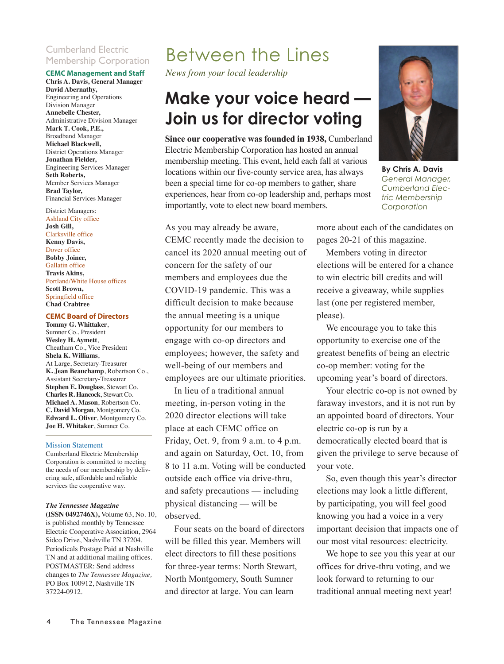### Cumberland Electric Membership Corporation

### **CEMC Management and Staff**

**Chris A. Davis, General Manager David Abernathy,** Engineering and Operations Division Manager **Annebelle Chester,** Administrative Division Manager **Mark T. Cook, P.E.,** Broadband Manager **Michael Blackwell,** District Operations Manager **Jonathan Fielder,**  Engineering Services Manager **Seth Roberts,** Member Services Manager **Brad Taylor,**  Financial Services Manager

### District Managers:

Ashland City office **Josh Gill,** Clarksville office **Kenny Davis,**  Dover office **Bobby Joiner,**  Gallatin office **Travis Akins,** Portland/White House offices **Scott Brown,**  Springfield office **Chad Crabtree**

#### **CEMC Board of Directors**

**Tommy G. Whittaker**, Sumner Co., President **Wesley H. Aymett**, Cheatham Co., Vice President **Shela K. Williams**, At Large, Secretary-Treasurer **K. Jean Beauchamp**, Robertson Co., Assistant Secretary-Treasurer **Stephen E. Douglass**, Stewart Co. **Charles R. Hancock**, Stewart Co. **Michael A. Mason**, Robertson Co. **C. David Morgan**, Montgomery Co. **Edward L. Oliver**, Montgomery Co. **Joe H. Whitaker**, Sumner Co.

#### Mission Statement

Cumberland Electric Membership Corporation is committed to meeting the needs of our membership by delivering safe, affordable and reliable services the cooperative way.

#### *The Tennessee Magazine*

**(ISSN 0492746X),** Volume 63, No. 10, is published monthly by Tennessee Electric Cooperative Association, 2964 Sidco Drive, Nashville TN 37204. Periodicals Postage Paid at Nashville TN and at additional mailing offices. POSTMASTER: Send address changes to *The Tennessee Magazine,* PO Box 100912, Nashville TN 37224-0912.

### Between the Lines

*News from your local leadership*

### **Make your voice heard — Join us for director voting**

**Since our cooperative was founded in 1938,** Cumberland Electric Membership Corporation has hosted an annual membership meeting. This event, held each fall at various locations within our five-county service area, has always been a special time for co-op members to gather, share experiences, hear from co-op leadership and, perhaps most importantly, vote to elect new board members.

**By Chris A. Davis** *General Manager, Cumberland Electric Membership Corporation*

As you may already be aware, CEMC recently made the decision to cancel its 2020 annual meeting out of concern for the safety of our members and employees due the COVID-19 pandemic. This was a difficult decision to make because the annual meeting is a unique opportunity for our members to engage with co-op directors and employees; however, the safety and well-being of our members and employees are our ultimate priorities.

In lieu of a traditional annual meeting, in-person voting in the 2020 director elections will take place at each CEMC office on Friday, Oct. 9, from 9 a.m. to 4 p.m. and again on Saturday, Oct. 10, from 8 to 11 a.m. Voting will be conducted outside each office via drive-thru, and safety precautions — including physical distancing — will be observed.

Four seats on the board of directors will be filled this year. Members will elect directors to fill these positions for three-year terms: North Stewart, North Montgomery, South Sumner and director at large. You can learn

more about each of the candidates on pages 20-21 of this magazine.

Members voting in director elections will be entered for a chance to win electric bill credits and will receive a giveaway, while supplies last (one per registered member, please).

We encourage you to take this opportunity to exercise one of the greatest benefits of being an electric co-op member: voting for the upcoming year's board of directors.

Your electric co-op is not owned by faraway investors, and it is not run by an appointed board of directors. Your electric co-op is run by a democratically elected board that is given the privilege to serve because of your vote.

So, even though this year's director elections may look a little different, by participating, you will feel good knowing you had a voice in a very important decision that impacts one of our most vital resources: electricity.

We hope to see you this year at our offices for drive-thru voting, and we look forward to returning to our traditional annual meeting next year!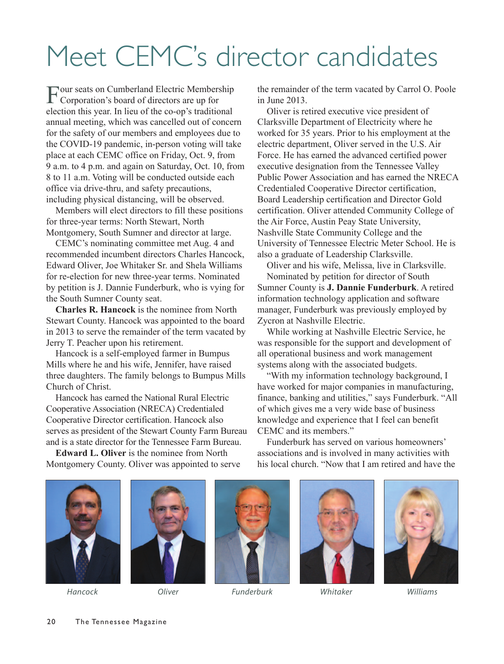# Meet CEMC's director candidates

Four seats on Cumberland Electric Membership Corporation's board of directors are up for election this year. In lieu of the co-op's traditional annual meeting, which was cancelled out of concern for the safety of our members and employees due to the COVID-19 pandemic, in-person voting will take place at each CEMC office on Friday, Oct. 9, from 9 a.m. to 4 p.m. and again on Saturday, Oct. 10, from 8 to 11 a.m. Voting will be conducted outside each office via drive-thru, and safety precautions, including physical distancing, will be observed.

Members will elect directors to fill these positions for three-year terms: North Stewart, North Montgomery, South Sumner and director at large.

CEMC's nominating committee met Aug. 4 and recommended incumbent directors Charles Hancock, Edward Oliver, Joe Whitaker Sr. and Shela Williams for re-election for new three-year terms. Nominated by petition is J. Dannie Funderburk, who is vying for the South Sumner County seat.

**Charles R. Hancock** is the nominee from North Stewart County. Hancock was appointed to the board in 2013 to serve the remainder of the term vacated by Jerry T. Peacher upon his retirement.

Hancock is a self-employed farmer in Bumpus Mills where he and his wife, Jennifer, have raised three daughters. The family belongs to Bumpus Mills Church of Christ.

Hancock has earned the National Rural Electric Cooperative Association (NRECA) Credentialed Cooperative Director certification. Hancock also serves as president of the Stewart County Farm Bureau and is a state director for the Tennessee Farm Bureau.

**Edward L. Oliver** is the nominee from North Montgomery County. Oliver was appointed to serve the remainder of the term vacated by Carrol O. Poole in June 2013.

Oliver is retired executive vice president of Clarksville Department of Electricity where he worked for 35 years. Prior to his employment at the electric department, Oliver served in the U.S. Air Force. He has earned the advanced certified power executive designation from the Tennessee Valley Public Power Association and has earned the NRECA Credentialed Cooperative Director certification, Board Leadership certification and Director Gold certification. Oliver attended Community College of the Air Force, Austin Peay State University, Nashville State Community College and the University of Tennessee Electric Meter School. He is also a graduate of Leadership Clarksville.

Oliver and his wife, Melissa, live in Clarksville. Nominated by petition for director of South

Sumner County is **J. Dannie Funderburk**. A retired information technology application and software manager, Funderburk was previously employed by Zycron at Nashville Electric.

While working at Nashville Electric Service, he was responsible for the support and development of all operational business and work management systems along with the associated budgets.

"With my information technology background, I have worked for major companies in manufacturing, finance, banking and utilities," says Funderburk. "All of which gives me a very wide base of business knowledge and experience that I feel can benefit CEMC and its members."

Funderburk has served on various homeowners' associations and is involved in many activities with his local church. "Now that I am retired and have the







*Hancock Oliver Funderburk Whitaker Williams*



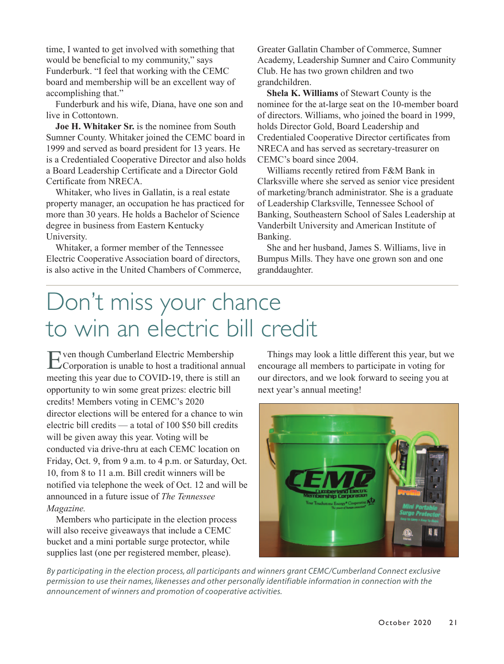time, I wanted to get involved with something that would be beneficial to my community," says Funderburk. "I feel that working with the CEMC board and membership will be an excellent way of accomplishing that."

Funderburk and his wife, Diana, have one son and live in Cottontown.

**Joe H. Whitaker Sr.** is the nominee from South Sumner County. Whitaker joined the CEMC board in 1999 and served as board president for 13 years. He is a Credentialed Cooperative Director and also holds a Board Leadership Certificate and a Director Gold Certificate from NRECA.

Whitaker, who lives in Gallatin, is a real estate property manager, an occupation he has practiced for more than 30 years. He holds a Bachelor of Science degree in business from Eastern Kentucky University.

Whitaker, a former member of the Tennessee Electric Cooperative Association board of directors, is also active in the United Chambers of Commerce, Greater Gallatin Chamber of Commerce, Sumner Academy, Leadership Sumner and Cairo Community Club. He has two grown children and two grandchildren.

**Shela K. Williams** of Stewart County is the nominee for the at-large seat on the 10-member board of directors. Williams, who joined the board in 1999, holds Director Gold, Board Leadership and Credentialed Cooperative Director certificates from NRECA and has served as secretary-treasurer on CEMC's board since 2004.

Williams recently retired from F&M Bank in Clarksville where she served as senior vice president of marketing/branch administrator. She is a graduate of Leadership Clarksville, Tennessee School of Banking, Southeastern School of Sales Leadership at Vanderbilt University and American Institute of Banking.

She and her husband, James S. Williams, live in Bumpus Mills. They have one grown son and one granddaughter.

## Don't miss your chance to win an electric bill credit

Even though Cumberland Electric Membership Corporation is unable to host a traditional annual meeting this year due to COVID-19, there is still an opportunity to win some great prizes: electric bill credits! Members voting in CEMC's 2020 director elections will be entered for a chance to win electric bill credits — a total of 100 \$50 bill credits will be given away this year. Voting will be conducted via drive-thru at each CEMC location on Friday, Oct. 9, from 9 a.m. to 4 p.m. or Saturday, Oct. 10, from 8 to 11 a.m. Bill credit winners will be notified via telephone the week of Oct. 12 and will be announced in a future issue of *The Tennessee Magazine.* 

Members who participate in the election process will also receive giveaways that include a CEMC bucket and a mini portable surge protector, while supplies last (one per registered member, please).

Things may look a little different this year, but we encourage all members to participate in voting for our directors, and we look forward to seeing you at next year's annual meeting!



*By participating in the election process, all participants and winners grant CEMC/Cumberland Connect exclusive permission to use their names, likenesses and other personally identifiable information in connection with the announcement of winners and promotion of cooperative activities.*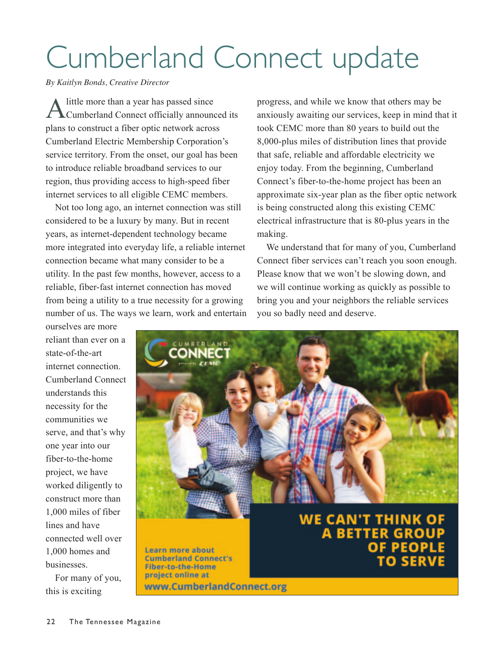# Cumberland Connect update

*By Kaitlyn Bonds, Creative Director*

A little more than a year has passed since<br>Cumberland Connect officially announced its plans to construct a fiber optic network across Cumberland Electric Membership Corporation's service territory. From the onset, our goal has been to introduce reliable broadband services to our region, thus providing access to high-speed fiber internet services to all eligible CEMC members.

Not too long ago, an internet connection was still considered to be a luxury by many. But in recent years, as internet-dependent technology became more integrated into everyday life, a reliable internet connection became what many consider to be a utility. In the past few months, however, access to a reliable, fiber-fast internet connection has moved from being a utility to a true necessity for a growing number of us. The ways we learn, work and entertain

ourselves are more reliant than ever on a state-of-the-art internet connection. Cumberland Connect understands this necessity for the communities we serve, and that's why one year into our fiber-to-the-home project, we have worked diligently to construct more than 1,000 miles of fiber lines and have connected well over 1,000 homes and businesses.

For many of you, this is exciting

progress, and while we know that others may be anxiously awaiting our services, keep in mind that it took CEMC more than 80 years to build out the 8,000-plus miles of distribution lines that provide that safe, reliable and affordable electricity we enjoy today. From the beginning, Cumberland Connect's fiber-to-the-home project has been an approximate six-year plan as the fiber optic network is being constructed along this existing CEMC electrical infrastructure that is 80-plus years in the making.

We understand that for many of you, Cumberland Connect fiber services can't reach you soon enough. Please know that we won't be slowing down, and we will continue working as quickly as possible to bring you and your neighbors the reliable services you so badly need and deserve.

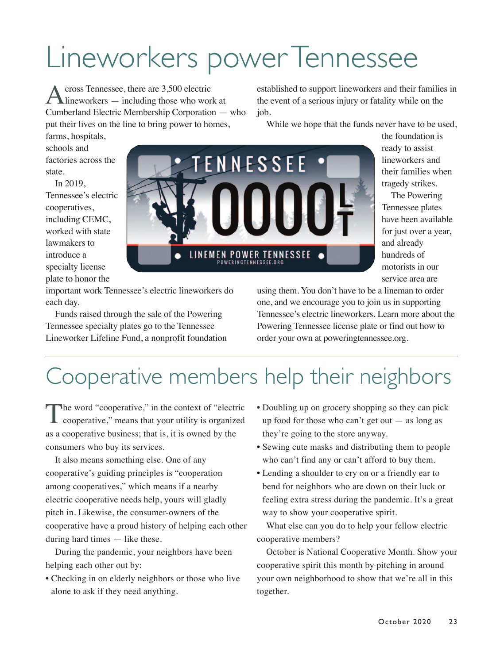# Lineworkers power Tennessee

Across Tennessee, there are 3,500 electric<br>lineworkers — including those who work at Cumberland Electric Membership Corporation — who put their lives on the line to bring power to homes,

established to support lineworkers and their families in the event of a serious injury or fatality while on the job.

While we hope that the funds never have to be used,

farms, hospitals, schools and factories across the state.

In 2019, Tennessee's electric cooperatives, including CEMC, worked with state lawmakers to introduce a specialty license plate to honor the



the foundation is ready to assist lineworkers and their families when tragedy strikes.

The Powering Tennessee plates have been available for just over a year, and already hundreds of motorists in our service area are

important work Tennessee's electric lineworkers do each day.

Funds raised through the sale of the Powering Tennessee specialty plates go to the Tennessee Lineworker Lifeline Fund, a nonprofit foundation using them. You don't have to be a lineman to order one, and we encourage you to join us in supporting Tennessee's electric lineworkers. Learn more about the Powering Tennessee license plate or find out how to order your own at poweringtennessee.org.

## Cooperative members help their neighbors

The word "cooperative," in the context of "electric<br>cooperative," means that your utility is organized as a cooperative business; that is, it is owned by the consumers who buy its services.

It also means something else. One of any cooperative's guiding principles is "cooperation among cooperatives," which means if a nearby electric cooperative needs help, yours will gladly pitch in. Likewise, the consumer-owners of the cooperative have a proud history of helping each other during hard times — like these.

During the pandemic, your neighbors have been helping each other out by:

• Checking in on elderly neighbors or those who live alone to ask if they need anything.

- Doubling up on grocery shopping so they can pick up food for those who can't get out  $-$  as long as they're going to the store anyway.
- Sewing cute masks and distributing them to people who can't find any or can't afford to buy them.
- Lending a shoulder to cry on or a friendly ear to bend for neighbors who are down on their luck or feeling extra stress during the pandemic. It's a great way to show your cooperative spirit.

What else can you do to help your fellow electric cooperative members?

October is National Cooperative Month. Show your cooperative spirit this month by pitching in around your own neighborhood to show that we're all in this together.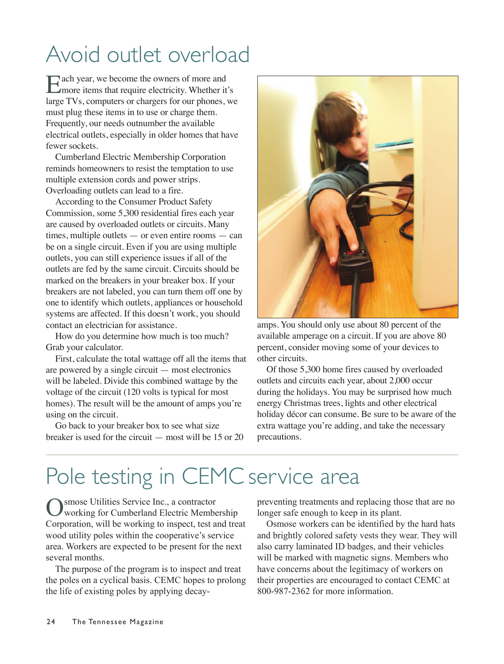## Avoid outlet overload

Each year, we become the owners of more and<br>more items that require electricity. Whether it's large TVs, computers or chargers for our phones, we must plug these items in to use or charge them. Frequently, our needs outnumber the available electrical outlets, especially in older homes that have fewer sockets.

Cumberland Electric Membership Corporation reminds homeowners to resist the temptation to use multiple extension cords and power strips. Overloading outlets can lead to a fire.

According to the Consumer Product Safety Commission, some 5,300 residential fires each year are caused by overloaded outlets or circuits. Many times, multiple outlets — or even entire rooms — can be on a single circuit. Even if you are using multiple outlets, you can still experience issues if all of the outlets are fed by the same circuit. Circuits should be marked on the breakers in your breaker box. If your breakers are not labeled, you can turn them off one by one to identify which outlets, appliances or household systems are affected. If this doesn't work, you should contact an electrician for assistance.

How do you determine how much is too much? Grab your calculator.

First, calculate the total wattage off all the items that are powered by a single circuit — most electronics will be labeled. Divide this combined wattage by the voltage of the circuit (120 volts is typical for most homes). The result will be the amount of amps you're using on the circuit.

Go back to your breaker box to see what size breaker is used for the circuit — most will be 15 or 20



amps. You should only use about 80 percent of the available amperage on a circuit. If you are above 80 percent, consider moving some of your devices to other circuits.

Of those 5,300 home fires caused by overloaded outlets and circuits each year, about 2,000 occur during the holidays. You may be surprised how much energy Christmas trees, lights and other electrical holiday décor can consume. Be sure to be aware of the extra wattage you're adding, and take the necessary precautions.

## Pole testing in CEMC service area

Osmose Utilities Service Inc., a contractor working for Cumberland Electric Membership Corporation, will be working to inspect, test and treat wood utility poles within the cooperative's service area. Workers are expected to be present for the next several months.

The purpose of the program is to inspect and treat the poles on a cyclical basis. CEMC hopes to prolong the life of existing poles by applying decaypreventing treatments and replacing those that are no longer safe enough to keep in its plant.

Osmose workers can be identified by the hard hats and brightly colored safety vests they wear. They will also carry laminated ID badges, and their vehicles will be marked with magnetic signs. Members who have concerns about the legitimacy of workers on their properties are encouraged to contact CEMC at 800-987-2362 for more information.